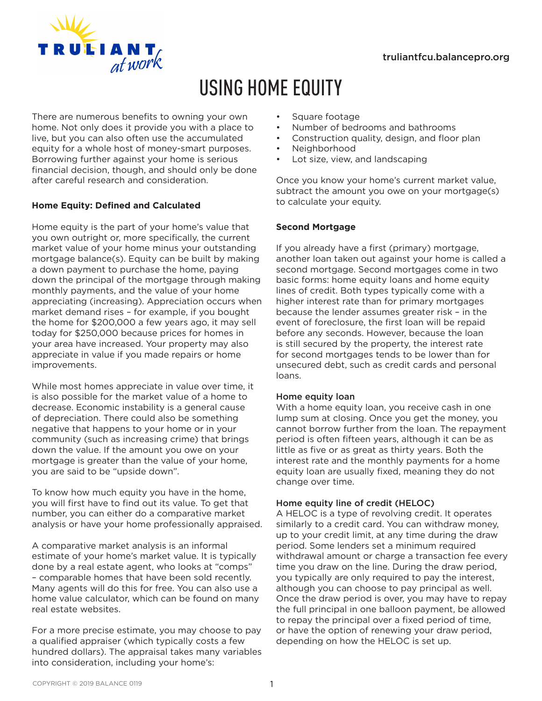

# USING HOME EQUITY

There are numerous benefits to owning your own home. Not only does it provide you with a place to live, but you can also often use the accumulated equity for a whole host of money-smart purposes. Borrowing further against your home is serious financial decision, though, and should only be done after careful research and consideration.

# **Home Equity: Defined and Calculated**

Home equity is the part of your home's value that you own outright or, more specifically, the current market value of your home minus your outstanding mortgage balance(s). Equity can be built by making a down payment to purchase the home, paying down the principal of the mortgage through making monthly payments, and the value of your home appreciating (increasing). Appreciation occurs when market demand rises – for example, if you bought the home for \$200,000 a few years ago, it may sell today for \$250,000 because prices for homes in your area have increased. Your property may also appreciate in value if you made repairs or home improvements.

While most homes appreciate in value over time, it is also possible for the market value of a home to decrease. Economic instability is a general cause of depreciation. There could also be something negative that happens to your home or in your community (such as increasing crime) that brings down the value. If the amount you owe on your mortgage is greater than the value of your home, you are said to be "upside down".

To know how much equity you have in the home, you will first have to find out its value. To get that number, you can either do a comparative market analysis or have your home professionally appraised.

A comparative market analysis is an informal estimate of your home's market value. It is typically done by a real estate agent, who looks at "comps" – comparable homes that have been sold recently. Many agents will do this for free. You can also use a home value calculator, which can be found on many real estate websites.

For a more precise estimate, you may choose to pay a qualified appraiser (which typically costs a few hundred dollars). The appraisal takes many variables into consideration, including your home's:

- Square footage
- Number of bedrooms and bathrooms
- Construction quality, design, and floor plan
- Neighborhood
- Lot size, view, and landscaping

Once you know your home's current market value, subtract the amount you owe on your mortgage(s) to calculate your equity.

## **Second Mortgage**

If you already have a first (primary) mortgage, another loan taken out against your home is called a second mortgage. Second mortgages come in two basic forms: home equity loans and home equity lines of credit. Both types typically come with a higher interest rate than for primary mortgages because the lender assumes greater risk – in the event of foreclosure, the first loan will be repaid before any seconds. However, because the loan is still secured by the property, the interest rate for second mortgages tends to be lower than for unsecured debt, such as credit cards and personal loans.

## Home equity loan

With a home equity loan, you receive cash in one lump sum at closing. Once you get the money, you cannot borrow further from the loan. The repayment period is often fifteen years, although it can be as little as five or as great as thirty years. Both the interest rate and the monthly payments for a home equity loan are usually fixed, meaning they do not change over time.

## Home equity line of credit (HELOC)

A HELOC is a type of revolving credit. It operates similarly to a credit card. You can withdraw money, up to your credit limit, at any time during the draw period. Some lenders set a minimum required withdrawal amount or charge a transaction fee every time you draw on the line. During the draw period, you typically are only required to pay the interest, although you can choose to pay principal as well. Once the draw period is over, you may have to repay the full principal in one balloon payment, be allowed to repay the principal over a fixed period of time, or have the option of renewing your draw period, depending on how the HELOC is set up.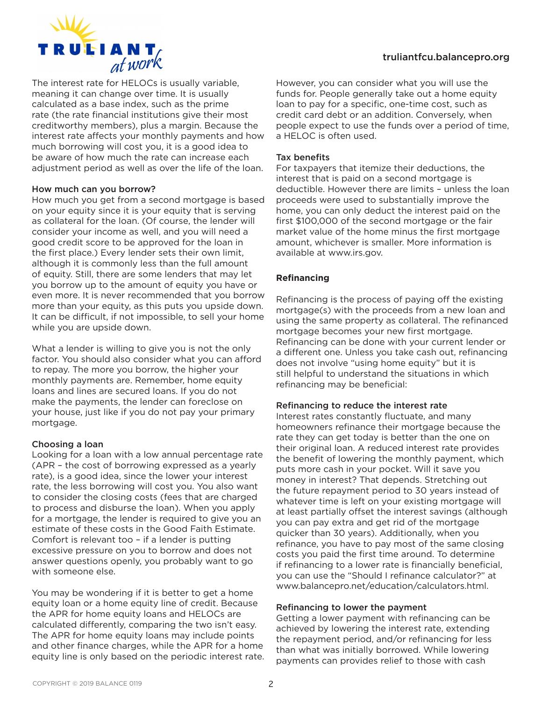

The interest rate for HELOCs is usually variable, meaning it can change over time. It is usually calculated as a base index, such as the prime rate (the rate financial institutions give their most creditworthy members), plus a margin. Because the interest rate affects your monthly payments and how much borrowing will cost you, it is a good idea to be aware of how much the rate can increase each adjustment period as well as over the life of the loan.

#### How much can you borrow?

How much you get from a second mortgage is based on your equity since it is your equity that is serving as collateral for the loan. (Of course, the lender will consider your income as well, and you will need a good credit score to be approved for the loan in the first place.) Every lender sets their own limit, although it is commonly less than the full amount of equity. Still, there are some lenders that may let you borrow up to the amount of equity you have or even more. It is never recommended that you borrow more than your equity, as this puts you upside down. It can be difficult, if not impossible, to sell your home while you are upside down.

What a lender is willing to give you is not the only factor. You should also consider what you can afford to repay. The more you borrow, the higher your monthly payments are. Remember, home equity loans and lines are secured loans. If you do not make the payments, the lender can foreclose on your house, just like if you do not pay your primary mortgage.

## Choosing a loan

Looking for a loan with a low annual percentage rate (APR – the cost of borrowing expressed as a yearly rate), is a good idea, since the lower your interest rate, the less borrowing will cost you. You also want to consider the closing costs (fees that are charged to process and disburse the loan). When you apply for a mortgage, the lender is required to give you an estimate of these costs in the Good Faith Estimate. Comfort is relevant too – if a lender is putting excessive pressure on you to borrow and does not answer questions openly, you probably want to go with someone else.

You may be wondering if it is better to get a home equity loan or a home equity line of credit. Because the APR for home equity loans and HELOCs are calculated differently, comparing the two isn't easy. The APR for home equity loans may include points and other finance charges, while the APR for a home equity line is only based on the periodic interest rate.

# truliantfcu.balancepro.org

However, you can consider what you will use the funds for. People generally take out a home equity loan to pay for a specific, one-time cost, such as credit card debt or an addition. Conversely, when people expect to use the funds over a period of time, a HELOC is often used.

## Tax benefits

For taxpayers that itemize their deductions, the interest that is paid on a second mortgage is deductible. However there are limits – unless the loan proceeds were used to substantially improve the home, you can only deduct the interest paid on the first \$100,000 of the second mortgage or the fair market value of the home minus the first mortgage amount, whichever is smaller. More information is available at www.irs.gov.

# **Refinancing**

Refinancing is the process of paying off the existing mortgage(s) with the proceeds from a new loan and using the same property as collateral. The refinanced mortgage becomes your new first mortgage. Refinancing can be done with your current lender or a different one. Unless you take cash out, refinancing does not involve "using home equity" but it is still helpful to understand the situations in which refinancing may be beneficial:

## Refinancing to reduce the interest rate

Interest rates constantly fluctuate, and many homeowners refinance their mortgage because the rate they can get today is better than the one on their original loan. A reduced interest rate provides the benefit of lowering the monthly payment, which puts more cash in your pocket. Will it save you money in interest? That depends. Stretching out the future repayment period to 30 years instead of whatever time is left on your existing mortgage will at least partially offset the interest savings (although you can pay extra and get rid of the mortgage quicker than 30 years). Additionally, when you refinance, you have to pay most of the same closing costs you paid the first time around. To determine if refinancing to a lower rate is financially beneficial, you can use the "Should I refinance calculator?" at www.balancepro.net/education/calculators.html.

## Refinancing to lower the payment

Getting a lower payment with refinancing can be achieved by lowering the interest rate, extending the repayment period, and/or refinancing for less than what was initially borrowed. While lowering payments can provides relief to those with cash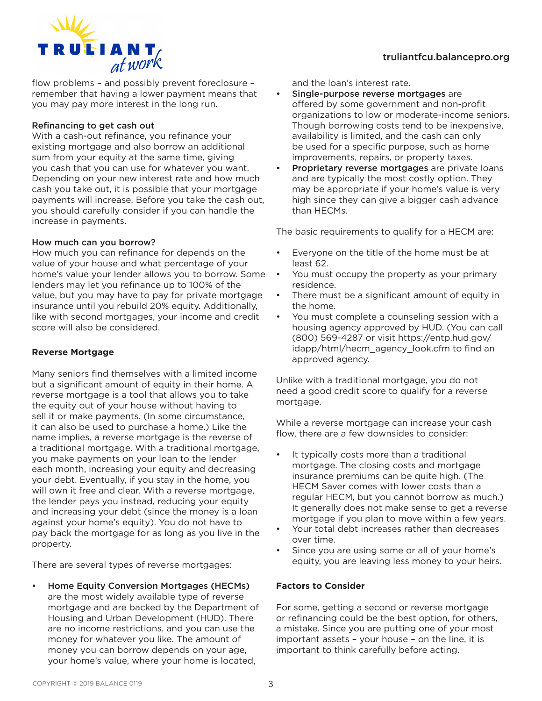

flow problems – and possibly prevent foreclosure – remember that having a lower payment means that you may pay more interest in the long run.

#### Refinancing to get cash out

With a cash-out refinance, you refinance your existing mortgage and also borrow an additional sum from your equity at the same time, giving you cash that you can use for whatever you want. Depending on your new interest rate and how much cash you take out, it is possible that your mortgage payments will increase. Before you take the cash out, you should carefully consider if you can handle the increase in payments.

#### How much can you borrow?

How much you can refinance for depends on the value of your house and what percentage of your home's value your lender allows you to borrow. Some lenders may let you refinance up to 100% of the value, but you may have to pay for private mortgage insurance until you rebuild 20% equity. Additionally, like with second mortgages, your income and credit score will also be considered.

# **Reverse Mortgage**

Many seniors find themselves with a limited income but a significant amount of equity in their home. A reverse mortgage is a tool that allows you to take the equity out of your house without having to sell it or make payments. (In some circumstance, it can also be used to purchase a home.) Like the name implies, a reverse mortgage is the reverse of a traditional mortgage. With a traditional mortgage, you make payments on your loan to the lender each month, increasing your equity and decreasing your debt. Eventually, if you stay in the home, you will own it free and clear. With a reverse mortgage, the lender pays you instead, reducing your equity and increasing your debt (since the money is a loan against your home's equity). You do not have to pay back the mortgage for as long as you live in the property.

There are several types of reverse mortgages:

• Home Equity Conversion Mortgages (HECMs) are the most widely available type of reverse mortgage and are backed by the Department of Housing and Urban Development (HUD). There are no income restrictions, and you can use the money for whatever you like. The amount of money you can borrow depends on your age, your home's value, where your home is located,

and the loan's interest rate.

- Single-purpose reverse mortgages are offered by some government and non-profit organizations to low or moderate-income seniors. Though borrowing costs tend to be inexpensive, availability is limited, and the cash can only be used for a specific purpose, such as home improvements, repairs, or property taxes.
- Proprietary reverse mortgages are private loans and are typically the most costly option. They may be appropriate if your home's value is very high since they can give a bigger cash advance than HECMs.

The basic requirements to qualify for a HECM are:

- Everyone on the title of the home must be at least 62.
- You must occupy the property as your primary residence.
- There must be a significant amount of equity in the home.
- You must complete a counseling session with a housing agency approved by HUD. (You can call (800) 569-4287 or visit https://entp.hud.gov/ idapp/html/hecm\_agency\_look.cfm to find an approved agency.

Unlike with a traditional mortgage, you do not need a good credit score to qualify for a reverse mortgage.

While a reverse mortgage can increase your cash flow, there are a few downsides to consider:

- It typically costs more than a traditional mortgage. The closing costs and mortgage insurance premiums can be quite high. (The HECM Saver comes with lower costs than a regular HECM, but you cannot borrow as much.) It generally does not make sense to get a reverse mortgage if you plan to move within a few years.
- Your total debt increases rather than decreases over time.
- Since you are using some or all of your home's equity, you are leaving less money to your heirs.

## **Factors to Consider**

For some, getting a second or reverse mortgage or refinancing could be the best option, for others, a mistake. Since you are putting one of your most important assets – your house – on the line, it is important to think carefully before acting.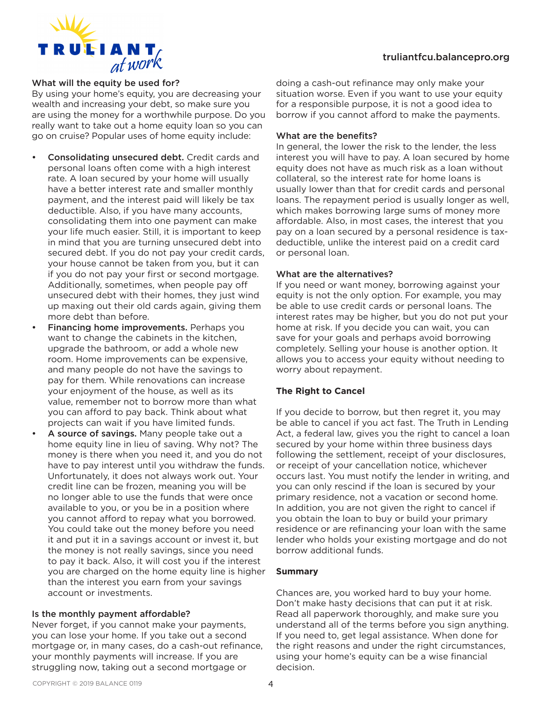#### truliantfcu.balancepro.org



#### What will the equity be used for?

By using your home's equity, you are decreasing your wealth and increasing your debt, so make sure you are using the money for a worthwhile purpose. Do you really want to take out a home equity loan so you can go on cruise? Popular uses of home equity include:

- Consolidating unsecured debt. Credit cards and personal loans often come with a high interest rate. A loan secured by your home will usually have a better interest rate and smaller monthly payment, and the interest paid will likely be tax deductible. Also, if you have many accounts, consolidating them into one payment can make your life much easier. Still, it is important to keep in mind that you are turning unsecured debt into secured debt. If you do not pay your credit cards, your house cannot be taken from you, but it can if you do not pay your first or second mortgage. Additionally, sometimes, when people pay off unsecured debt with their homes, they just wind up maxing out their old cards again, giving them more debt than before.
- Financing home improvements. Perhaps you want to change the cabinets in the kitchen, upgrade the bathroom, or add a whole new room. Home improvements can be expensive, and many people do not have the savings to pay for them. While renovations can increase your enjoyment of the house, as well as its value, remember not to borrow more than what you can afford to pay back. Think about what projects can wait if you have limited funds.
- A source of savings. Many people take out a home equity line in lieu of saving. Why not? The money is there when you need it, and you do not have to pay interest until you withdraw the funds. Unfortunately, it does not always work out. Your credit line can be frozen, meaning you will be no longer able to use the funds that were once available to you, or you be in a position where you cannot afford to repay what you borrowed. You could take out the money before you need it and put it in a savings account or invest it, but the money is not really savings, since you need to pay it back. Also, it will cost you if the interest you are charged on the home equity line is higher than the interest you earn from your savings account or investments.

#### Is the monthly payment affordable?

Never forget, if you cannot make your payments, you can lose your home. If you take out a second mortgage or, in many cases, do a cash-out refinance, your monthly payments will increase. If you are struggling now, taking out a second mortgage or

doing a cash-out refinance may only make your situation worse. Even if you want to use your equity for a responsible purpose, it is not a good idea to borrow if you cannot afford to make the payments.

#### What are the benefits?

In general, the lower the risk to the lender, the less interest you will have to pay. A loan secured by home equity does not have as much risk as a loan without collateral, so the interest rate for home loans is usually lower than that for credit cards and personal loans. The repayment period is usually longer as well, which makes borrowing large sums of money more affordable. Also, in most cases, the interest that you pay on a loan secured by a personal residence is taxdeductible, unlike the interest paid on a credit card or personal loan.

#### What are the alternatives?

If you need or want money, borrowing against your equity is not the only option. For example, you may be able to use credit cards or personal loans. The interest rates may be higher, but you do not put your home at risk. If you decide you can wait, you can save for your goals and perhaps avoid borrowing completely. Selling your house is another option. It allows you to access your equity without needing to worry about repayment.

#### **The Right to Cancel**

If you decide to borrow, but then regret it, you may be able to cancel if you act fast. The Truth in Lending Act, a federal law, gives you the right to cancel a loan secured by your home within three business days following the settlement, receipt of your disclosures, or receipt of your cancellation notice, whichever occurs last. You must notify the lender in writing, and you can only rescind if the loan is secured by your primary residence, not a vacation or second home. In addition, you are not given the right to cancel if you obtain the loan to buy or build your primary residence or are refinancing your loan with the same lender who holds your existing mortgage and do not borrow additional funds.

#### **Summary**

Chances are, you worked hard to buy your home. Don't make hasty decisions that can put it at risk. Read all paperwork thoroughly, and make sure you understand all of the terms before you sign anything. If you need to, get legal assistance. When done for the right reasons and under the right circumstances, using your home's equity can be a wise financial decision.